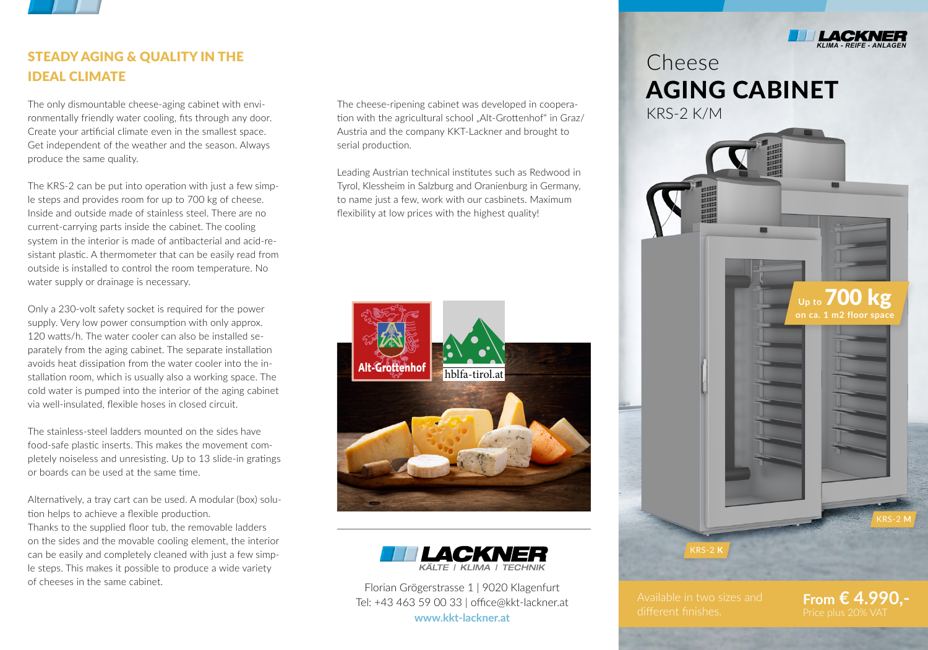

# STEADY AGING & QUALITY IN THE IDEAL CLIMATE

The only dismountable cheese-aging cabinet with environmentally friendly water cooling, fits through any door. Create your artificial climate even in the smallest space. Get independent of the weather and the season. Always produce the same quality.

The KRS-2 can be put into operation with just a few simple steps and provides room for up to 700 kg of cheese. Inside and outside made of stainless steel. There are no current-carrying parts inside the cabinet. The cooling system in the interior is made of antibacterial and acid-resistant plastic. A thermometer that can be easily read from outside is installed to control the room temperature. No water supply or drainage is necessary.

Only a 230-volt safety socket is required for the power supply. Very low power consumption with only approx. 120 watts/h. The water cooler can also be installed separately from the aging cabinet. The separate installation avoids heat dissipation from the water cooler into the installation room, which is usually also a working space. The cold water is pumped into the interior of the aging cabinet via well-insulated, flexible hoses in closed circuit.

The stainless-steel ladders mounted on the sides have food-safe plastic inserts. This makes the movement completely noiseless and unresisting. Up to 13 slide-in gratings or boards can be used at the same time.

Alternatively, a tray cart can be used. A modular (box) solution helps to achieve a flexible production.

Thanks to the supplied floor tub, the removable ladders on the sides and the movable cooling element, the interior can be easily and completely cleaned with just a few simple steps. This makes it possible to produce a wide variety of cheeses in the same cabinet.

The cheese-ripening cabinet was developed in cooperation with the agricultural school "Alt-Grottenhof" in Graz/ Austria and the company KKT-Lackner and brought to serial production.

Leading Austrian technical institutes such as Redwood in Tyrol, Klessheim in Salzburg and Oranienburg in Germany, to name just a few, work with our casbinets. Maximum flexibility at low prices with the highest quality!





Florian Grögerstrasse 1 | 9020 Klagenfurt Tel: +43 463 59 00 33 | office@kkt-lackner.at **www.kkt-lackner.at**

**From € 4.990,-**



**Up to 700** 

**on ca. 1 m2 floor space**

# Cheese AGING CABINET KRS-2 K/M

▬

KRS-2 **M**